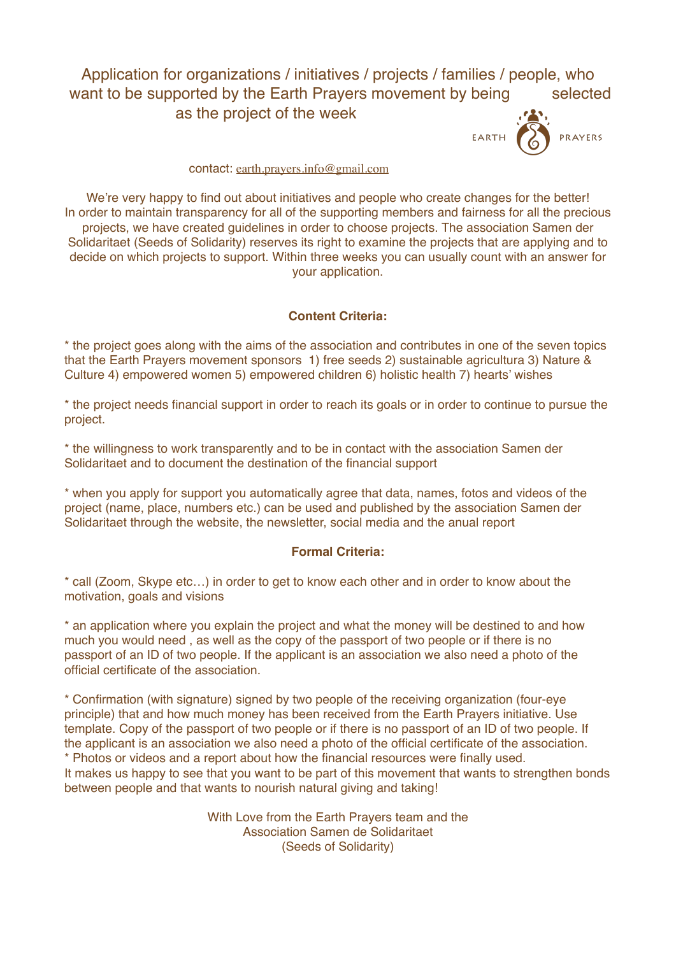# Application for organizations / initiatives / projects / families / people, who want to be supported by the Earth Prayers movement by being selected as the project of the week





#### contact: [earth.prayers.info@gmail.com](mailto:earth.prayers.info@gmail.com)

We're very happy to find out about initiatives and people who create changes for the better! In order to maintain transparency for all of the supporting members and fairness for all the precious projects, we have created guidelines in order to choose projects. The association Samen der Solidaritaet (Seeds of Solidarity) reserves its right to examine the projects that are applying and to decide on which projects to support. Within three weeks you can usually count with an answer for your application.

## **Content Criteria:**

\* the project goes along with the aims of the association and contributes in one of the seven topics that the Earth Prayers movement sponsors 1) free seeds 2) sustainable agricultura 3) Nature & Culture 4) empowered women 5) empowered children 6) holistic health 7) hearts' wishes

\* the project needs financial support in order to reach its goals or in order to continue to pursue the project.

\* the willingness to work transparently and to be in contact with the association Samen der Solidaritaet and to document the destination of the financial support

\* when you apply for support you automatically agree that data, names, fotos and videos of the project (name, place, numbers etc.) can be used and published by the association Samen der Solidaritaet through the website, the newsletter, social media and the anual report

### **Formal Criteria:**

\* call (Zoom, Skype etc…) in order to get to know each other and in order to know about the motivation, goals and visions

\* an application where you explain the project and what the money will be destined to and how much you would need , as well as the copy of the passport of two people or if there is no passport of an ID of two people. If the applicant is an association we also need a photo of the official certificate of the association.

\* Confirmation (with signature) signed by two people of the receiving organization (four-eye principle) that and how much money has been received from the Earth Prayers initiative. Use template. Copy of the passport of two people or if there is no passport of an ID of two people. If the applicant is an association we also need a photo of the official certificate of the association. \* Photos or videos and a report about how the financial resources were finally used. It makes us happy to see that you want to be part of this movement that wants to strengthen bonds between people and that wants to nourish natural giving and taking!

> With Love from the Earth Prayers team and the Association Samen de Solidaritaet (Seeds of Solidarity)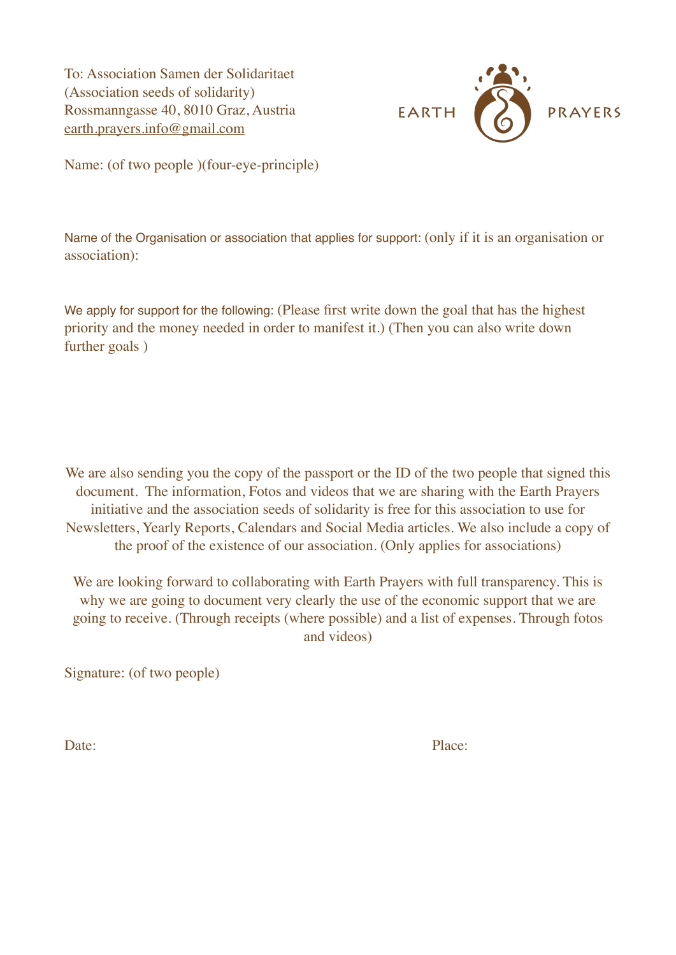To: Association Samen der Solidaritaet (Association seeds of solidarity) Rossmanngasse 40, 8010 Graz, Austria [earth.prayers.info@gmail.com](mailto:earth.prayers.info@gmail.com)



Name: (of two people )(four-eye-principle)

Name of the Organisation or association that applies for support: (only if it is an organisation or association):

We apply for support for the following: (Please first write down the goal that has the highest priority and the money needed in order to manifest it.) (Then you can also write down further goals )

We are also sending you the copy of the passport or the ID of the two people that signed this document. The information, Fotos and videos that we are sharing with the Earth Prayers initiative and the association seeds of solidarity is free for this association to use for Newsletters, Yearly Reports, Calendars and Social Media articles. We also include a copy of the proof of the existence of our association. (Only applies for associations)

We are looking forward to collaborating with Earth Prayers with full transparency. This is why we are going to document very clearly the use of the economic support that we are going to receive. (Through receipts (where possible) and a list of expenses. Through fotos and videos)

Signature: (of two people)

Date: Place: